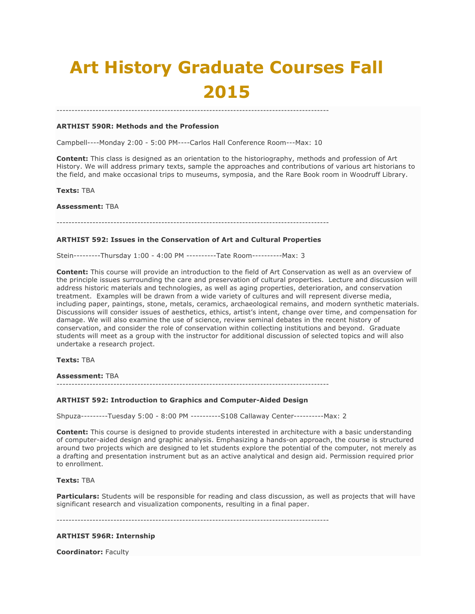# **Art History Graduate Courses Fall 2015**

## **ARTHIST 590R: Methods and the Profession**

Campbell----Monday 2:00 - 5:00 PM----Carlos Hall Conference Room---Max: 10

-------------------------------------------------------------------------------------------

**Content:** This class is designed as an orientation to the historiography, methods and profession of Art History. We will address primary texts, sample the approaches and contributions of various art historians to the field, and make occasional trips to museums, symposia, and the Rare Book room in Woodruff Library.

**Texts:** TBA

**Assessment:** TBA

-------------------------------------------------------------------------------------------

# **ARTHIST 592: Issues in the Conservation of Art and Cultural Properties**

Stein---------Thursday 1:00 - 4:00 PM ----------Tate Room----------Max: 3

**Content:** This course will provide an introduction to the field of Art Conservation as well as an overview of the principle issues surrounding the care and preservation of cultural properties. Lecture and discussion will address historic materials and technologies, as well as aging properties, deterioration, and conservation treatment. Examples will be drawn from a wide variety of cultures and will represent diverse media, including paper, paintings, stone, metals, ceramics, archaeological remains, and modern synthetic materials. Discussions will consider issues of aesthetics, ethics, artist's intent, change over time, and compensation for damage. We will also examine the use of science, review seminal debates in the recent history of conservation, and consider the role of conservation within collecting institutions and beyond. Graduate students will meet as a group with the instructor for additional discussion of selected topics and will also undertake a research project.

**Texts:** TBA

**Assessment:** TBA

-------------------------------------------------------------------------------------------

## **ARTHIST 592: Introduction to Graphics and Computer-Aided Design**

Shpuza---------Tuesday 5:00 - 8:00 PM ----------S108 Callaway Center----------Max: 2

**Content:** This course is designed to provide students interested in architecture with a basic understanding of computer-aided design and graphic analysis. Emphasizing a hands-on approach, the course is structured around two projects which are designed to let students explore the potential of the computer, not merely as a drafting and presentation instrument but as an active analytical and design aid. Permission required prior to enrollment.

## **Texts:** TBA

**Particulars:** Students will be responsible for reading and class discussion, as well as projects that will have significant research and visualization components, resulting in a final paper.

-------------------------------------------------------------------------------------------

## **ARTHIST 596R: Internship**

**Coordinator:** Faculty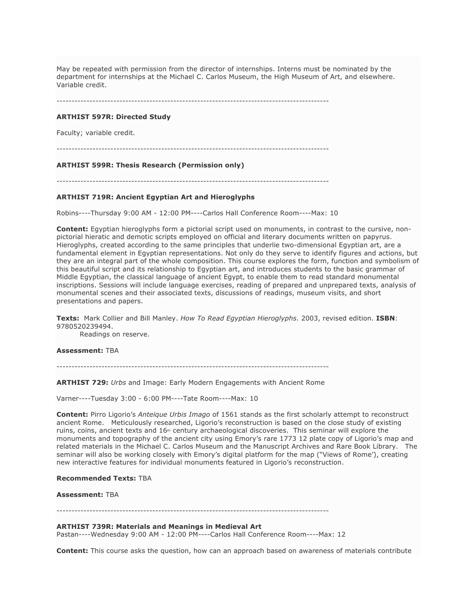May be repeated with permission from the director of internships. Interns must be nominated by the department for internships at the Michael C. Carlos Museum, the High Museum of Art, and elsewhere. Variable credit.

-------------------------------------------------------------------------------------------

# **ARTHIST 597R: Directed Study**

Faculty; variable credit.

## **ARTHIST 599R: Thesis Research (Permission only)**

-------------------------------------------------------------------------------------------

# **ARTHIST 719R: Ancient Egyptian Art and Hieroglyphs**

Robins----Thursday 9:00 AM - 12:00 PM----Carlos Hall Conference Room----Max: 10

**Content:** Egyptian hieroglyphs form a pictorial script used on monuments, in contrast to the cursive, nonpictorial hieratic and demotic scripts employed on official and literary documents written on papyrus. Hieroglyphs, created according to the same principles that underlie two-dimensional Egyptian art, are a fundamental element in Egyptian representations. Not only do they serve to identify figures and actions, but they are an integral part of the whole composition. This course explores the form, function and symbolism of this beautiful script and its relationship to Egyptian art, and introduces students to the basic grammar of Middle Egyptian, the classical language of ancient Egypt, to enable them to read standard monumental inscriptions. Sessions will include language exercises, reading of prepared and unprepared texts, analysis of monumental scenes and their associated texts, discussions of readings, museum visits, and short presentations and papers.

**Texts:** Mark Collier and Bill Manley. *How To Read Egyptian Hieroglyphs*. 2003, revised edition. **ISBN**: 9780520239494.

Readings on reserve.

# **Assessment:** TBA

-------------------------------------------------------------------------------------------

**ARTHIST 729:** *Urbs* and Image: Early Modern Engagements with Ancient Rome

Varner----Tuesday 3:00 - 6:00 PM----Tate Room----Max: 10

**Content:** Pirro Ligorio's *Anteique Urbis Imago* of 1561 stands as the first scholarly attempt to reconstruct ancient Rome. Meticulously researched, Ligorio's reconstruction is based on the close study of existing ruins, coins, ancient texts and 16<sup>th</sup> century archaeological discoveries. This seminar will explore the monuments and topography of the ancient city using Emory's rare 1773 12 plate copy of Ligorio's map and related materials in the Michael C. Carlos Museum and the Manuscript Archives and Rare Book Library. The seminar will also be working closely with Emory's digital platform for the map ("Views of Rome'), creating new interactive features for individual monuments featured in Ligorio's reconstruction.

#### **Recommended Texts:** TBA

#### **Assessment:** TBA

-------------------------------------------------------------------------------------------

**ARTHIST 739R: Materials and Meanings in Medieval Art**

Pastan----Wednesday 9:00 AM - 12:00 PM----Carlos Hall Conference Room----Max: 12

**Content:** This course asks the question, how can an approach based on awareness of materials contribute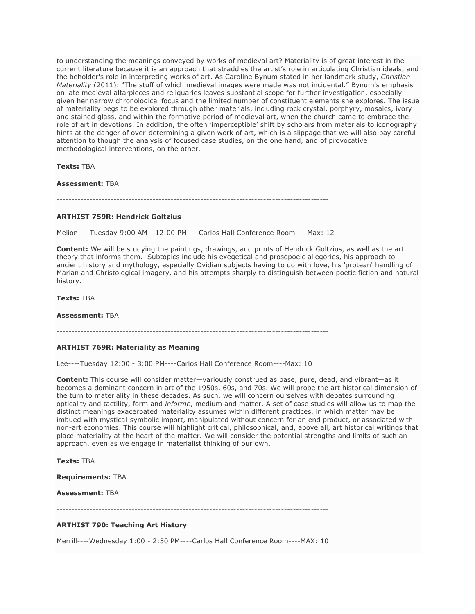to understanding the meanings conveyed by works of medieval art? Materiality is of great interest in the current literature because it is an approach that straddles the artist's role in articulating Christian ideals, and the beholder's role in interpreting works of art. As Caroline Bynum stated in her landmark study, *Christian Materiality* (2011): "The stuff of which medieval images were made was not incidental." Bynum's emphasis on late medieval altarpieces and reliquaries leaves substantial scope for further investigation, especially given her narrow chronological focus and the limited number of constituent elements she explores. The issue of materiality begs to be explored through other materials, including rock crystal, porphyry, mosaics, ivory and stained glass, and within the formative period of medieval art, when the church came to embrace the role of art in devotions. In addition, the often 'imperceptible' shift by scholars from materials to iconography hints at the danger of over-determining a given work of art, which is a slippage that we will also pay careful attention to though the analysis of focused case studies, on the one hand, and of provocative methodological interventions, on the other.

**Texts:** TBA

**Assessment:** TBA

# **ARTHIST 759R: Hendrick Goltzius**

Melion----Tuesday 9:00 AM - 12:00 PM----Carlos Hall Conference Room----Max: 12

**Content:** We will be studying the paintings, drawings, and prints of Hendrick Goltzius, as well as the art theory that informs them. Subtopics include his exegetical and prosopoeic allegories, his approach to ancient history and mythology, especially Ovidian subjects having to do with love, his 'protean' handling of Marian and Christological imagery, and his attempts sharply to distinguish between poetic fiction and natural history.

**Texts:** TBA

**Assessment:** TBA

# **ARTHIST 769R: Materiality as Meaning**

Lee----Tuesday 12:00 - 3:00 PM----Carlos Hall Conference Room----Max: 10

**Content:** This course will consider matter—variously construed as base, pure, dead, and vibrant—as it becomes a dominant concern in art of the 1950s, 60s, and 70s. We will probe the art historical dimension of the turn to materiality in these decades. As such, we will concern ourselves with debates surrounding opticality and tactility, form and *informe*, medium and matter. A set of case studies will allow us to map the distinct meanings exacerbated materiality assumes within different practices, in which matter may be imbued with mystical-symbolic import, manipulated without concern for an end product, or associated with non-art economies. This course will highlight critical, philosophical, and, above all, art historical writings that place materiality at the heart of the matter. We will consider the potential strengths and limits of such an approach, even as we engage in materialist thinking of our own.

**Texts:** TBA

**Requirements:** TBA

**Assessment:** TBA

-------------------------------------------------------------------------------------------

## **ARTHIST 790: Teaching Art History**

Merrill----Wednesday 1:00 - 2:50 PM----Carlos Hall Conference Room----MAX: 10